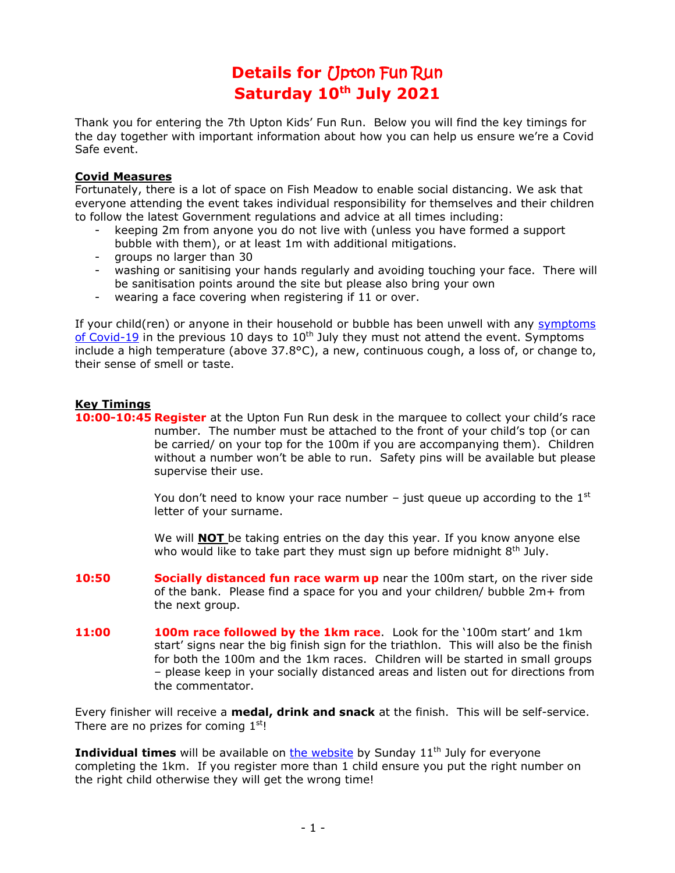# **Details for** Upton Fun Run **Saturday 10 th July 2021**

Thank you for entering the 7th Upton Kids' Fun Run. Below you will find the key timings for the day together with important information about how you can help us ensure we're a Covid Safe event.

#### **Covid Measures**

Fortunately, there is a lot of space on Fish Meadow to enable social distancing. We ask that everyone attending the event takes individual responsibility for themselves and their children to follow the latest Government regulations and advice at all times including:

- keeping 2m from anyone you do not live with (unless you have formed a support bubble with them), or at least 1m with additional mitigations.
- groups no larger than 30
- washing or sanitising your hands regularly and avoiding touching your face. There will be sanitisation points around the site but please also bring your own
- wearing a face covering when registering if 11 or over.

If your child(ren) or anyone in their household or bubble has been unwell with any [symptoms](https://www.nhs.uk/conditions/coronavirus-covid-19/symptoms/)  [of Covid-19](https://www.nhs.uk/conditions/coronavirus-covid-19/symptoms/) in the previous 10 days to  $10<sup>th</sup>$  July they must not attend the event. Symptoms include a high temperature (above 37.8°C), a new, continuous cough, a loss of, or change to, their sense of smell or taste.

## **Key Timings**

**10:00-10:45 Register** at the Upton Fun Run desk in the marquee to collect your child's race number. The number must be attached to the front of your child's top (or can be carried/ on your top for the 100m if you are accompanying them). Children without a number won't be able to run. Safety pins will be available but please supervise their use.

> You don't need to know your race number – just queue up according to the  $1<sup>st</sup>$ letter of your surname.

We will **NOT** be taking entries on the day this year. If you know anyone else who would like to take part they must sign up before midnight 8<sup>th</sup> July.

- **10:50 Socially distanced fun race warm up** near the 100m start, on the river side of the bank. Please find a space for you and your children/ bubble 2m+ from the next group.
- **11:00 100m race followed by the 1km race**. Look for the '100m start' and 1km start' signs near the big finish sign for the triathlon. This will also be the finish for both the 100m and the 1km races. Children will be started in small groups – please keep in your socially distanced areas and listen out for directions from the commentator.

Every finisher will receive a **medal, drink and snack** at the finish. This will be self-service. There are no prizes for coming  $1<sup>st</sup>$ !

**Individual times** will be available on **the website** by Sunday 11<sup>th</sup> July for everyone completing the 1km. If you register more than 1 child ensure you put the right number on the right child otherwise they will get the wrong time!